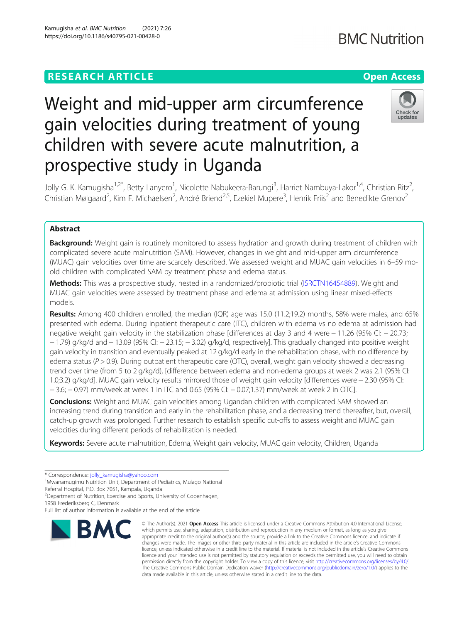**BMC Nutrition** 

# Weight and mid-upper arm circumference gain velocities during treatment of young children with severe acute malnutrition, a prospective study in Uganda



Jolly G. K. Kamugisha<sup>1,2\*</sup>, Betty Lanyero<sup>1</sup>, Nicolette Nabukeera-Barungi<sup>3</sup>, Harriet Nambuya-Lakor<sup>1,4</sup>, Christian Ritz<sup>2</sup> , Christian Mølgaard<sup>2</sup>, Kim F. Michaelsen<sup>2</sup>, André Briend<sup>2,5</sup>, Ezekiel Mupere<sup>3</sup>, Henrik Friis<sup>2</sup> and Benedikte Grenov<sup>2</sup>

# Abstract

**Background:** Weight gain is routinely monitored to assess hydration and growth during treatment of children with complicated severe acute malnutrition (SAM). However, changes in weight and mid-upper arm circumference (MUAC) gain velocities over time are scarcely described. We assessed weight and MUAC gain velocities in 6–59 moold children with complicated SAM by treatment phase and edema status.

Methods: This was a prospective study, nested in a randomized/probiotic trial ([ISRCTN16454889\)](http://www.isrctn.com). Weight and MUAC gain velocities were assessed by treatment phase and edema at admission using linear mixed-effects models.

Results: Among 400 children enrolled, the median (IQR) age was 15.0 (11.2;19.2) months, 58% were males, and 65% presented with edema. During inpatient therapeutic care (ITC), children with edema vs no edema at admission had negative weight gain velocity in the stabilization phase [differences at day 3 and 4 were − 11.26 (95% CI: − 20.73; − 1.79) g/kg/d and − 13.09 (95% CI: − 23.15; − 3.02) g/kg/d, respectively]. This gradually changed into positive weight gain velocity in transition and eventually peaked at 12 g/kg/d early in the rehabilitation phase, with no difference by edema status ( $P > 0.9$ ). During outpatient therapeutic care (OTC), overall, weight gain velocity showed a decreasing trend over time (from 5 to 2 g/kg/d), [difference between edema and non-edema groups at week 2 was 2.1 (95% CI: 1.0;3.2) g/kg/d]. MUAC gain velocity results mirrored those of weight gain velocity [differences were − 2.30 (95% CI: − 3.6; − 0.97) mm/week at week 1 in ITC and 0.65 (95% CI: − 0.07;1.37) mm/week at week 2 in OTC].

**Conclusions:** Weight and MUAC gain velocities among Ugandan children with complicated SAM showed an increasing trend during transition and early in the rehabilitation phase, and a decreasing trend thereafter, but, overall, catch-up growth was prolonged. Further research to establish specific cut-offs to assess weight and MUAC gain velocities during different periods of rehabilitation is needed.

Keywords: Severe acute malnutrition, Edema, Weight gain velocity, MUAC gain velocity, Children, Uganda

<sup>1</sup>Mwanamugimu Nutrition Unit, Department of Pediatrics, Mulago National

<sup>2</sup> Department of Nutrition, Exercise and Sports, University of Copenhagen,

Full list of author information is available at the end of the article



<sup>©</sup> The Author(s), 2021 **Open Access** This article is licensed under a Creative Commons Attribution 4.0 International License, which permits use, sharing, adaptation, distribution and reproduction in any medium or format, as long as you give appropriate credit to the original author(s) and the source, provide a link to the Creative Commons licence, and indicate if changes were made. The images or other third party material in this article are included in the article's Creative Commons licence, unless indicated otherwise in a credit line to the material. If material is not included in the article's Creative Commons licence and your intended use is not permitted by statutory regulation or exceeds the permitted use, you will need to obtain permission directly from the copyright holder. To view a copy of this licence, visit [http://creativecommons.org/licenses/by/4.0/.](http://creativecommons.org/licenses/by/4.0/) The Creative Commons Public Domain Dedication waiver [\(http://creativecommons.org/publicdomain/zero/1.0/](http://creativecommons.org/publicdomain/zero/1.0/)) applies to the data made available in this article, unless otherwise stated in a credit line to the data.

<sup>\*</sup> Correspondence: [jolly\\_kamugisha@yahoo.com](mailto:jolly_kamugisha@yahoo.com) <sup>1</sup>

Referral Hospital, P.O. Box 7051, Kampala, Uganda

<sup>1958</sup> Frederiksberg C, Denmark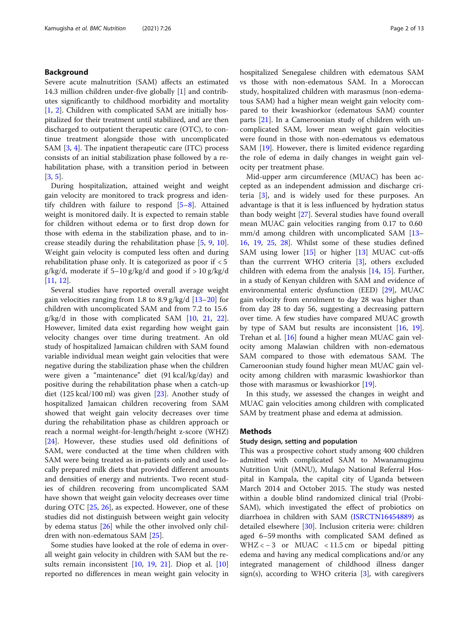# Background

Severe acute malnutrition (SAM) affects an estimated 14.3 million children under-five globally [\[1](#page-10-0)] and contributes significantly to childhood morbidity and mortality [[1,](#page-10-0) [2](#page-10-0)]. Children with complicated SAM are initially hospitalized for their treatment until stabilized, and are then discharged to outpatient therapeutic care (OTC), to continue treatment alongside those with uncomplicated SAM [[3,](#page-10-0) [4\]](#page-10-0). The inpatient therapeutic care (ITC) process consists of an initial stabilization phase followed by a rehabilitation phase, with a transition period in between [[3,](#page-10-0) [5\]](#page-10-0).

During hospitalization, attained weight and weight gain velocity are monitored to track progress and identify children with failure to respond [\[5](#page-10-0)–[8\]](#page-11-0). Attained weight is monitored daily. It is expected to remain stable for children without edema or to first drop down for those with edema in the stabilization phase, and to increase steadily during the rehabilitation phase [\[5](#page-10-0), [9,](#page-11-0) [10](#page-11-0)]. Weight gain velocity is computed less often and during rehabilitation phase only. It is categorized as poor if < 5 g/kg/d, moderate if  $5-10$  g/kg/d and good if  $> 10$  g/kg/d [[11,](#page-11-0) [12\]](#page-11-0).

Several studies have reported overall average weight gain velocities ranging from 1.8 to 8.9 g/kg/d [\[13](#page-11-0)–[20\]](#page-11-0) for children with uncomplicated SAM and from 7.2 to 15.6  $g/kg/d$  in those with complicated SAM [[10,](#page-11-0) [21](#page-11-0), [22](#page-11-0)]. However, limited data exist regarding how weight gain velocity changes over time during treatment. An old study of hospitalized Jamaican children with SAM found variable individual mean weight gain velocities that were negative during the stabilization phase when the children were given a "maintenance" diet (91 kcal/kg/day) and positive during the rehabilitation phase when a catch-up diet (125 kcal/100 ml) was given [[23\]](#page-11-0). Another study of hospitalized Jamaican children recovering from SAM showed that weight gain velocity decreases over time during the rehabilitation phase as children approach or reach a normal weight-for-length/height z-score (WHZ) [[24\]](#page-11-0). However, these studies used old definitions of SAM, were conducted at the time when children with SAM were being treated as in-patients only and used locally prepared milk diets that provided different amounts and densities of energy and nutrients. Two recent studies of children recovering from uncomplicated SAM have shown that weight gain velocity decreases over time during OTC [[25](#page-11-0), [26](#page-11-0)], as expected. However, one of these studies did not distinguish between weight gain velocity by edema status [\[26\]](#page-11-0) while the other involved only children with non-edematous SAM [[25\]](#page-11-0).

Some studies have looked at the role of edema in overall weight gain velocity in children with SAM but the results remain inconsistent [\[10](#page-11-0), [19,](#page-11-0) [21\]](#page-11-0). Diop et al. [[10](#page-11-0)] reported no differences in mean weight gain velocity in hospitalized Senegalese children with edematous SAM vs those with non-edematous SAM. In a Moroccan study, hospitalized children with marasmus (non-edematous SAM) had a higher mean weight gain velocity compared to their kwashiorkor (edematous SAM) counter parts [[21](#page-11-0)]. In a Cameroonian study of children with uncomplicated SAM, lower mean weight gain velocities were found in those with non-edematous vs edematous SAM [[19](#page-11-0)]. However, there is limited evidence regarding the role of edema in daily changes in weight gain velocity per treatment phase.

Mid-upper arm circumference (MUAC) has been accepted as an independent admission and discharge criteria [[3\]](#page-10-0), and is widely used for these purposes. An advantage is that it is less influenced by hydration status than body weight [[27\]](#page-11-0). Several studies have found overall mean MUAC gain velocities ranging from 0.17 to 0.60 mm/d among children with uncomplicated SAM [[13](#page-11-0)– [16,](#page-11-0) [19,](#page-11-0) [25,](#page-11-0) [28](#page-11-0)]. Whilst some of these studies defined SAM using lower  $[15]$  $[15]$  or higher  $[13]$  $[13]$  $[13]$  MUAC cut-offs than the currrent WHO criteria [\[3](#page-10-0)], others excluded children with edema from the analysis [\[14](#page-11-0), [15\]](#page-11-0). Further, in a study of Kenyan children with SAM and evidence of environmental enteric dysfunction (EED) [\[29](#page-11-0)], MUAC gain velocity from enrolment to day 28 was higher than from day 28 to day 56, suggesting a decreasing pattern over time. A few studies have compared MUAC growth by type of SAM but results are inconsistent [\[16](#page-11-0), [19](#page-11-0)]. Trehan et al. [\[16\]](#page-11-0) found a higher mean MUAC gain velocity among Malawian children with non-edematous SAM compared to those with edematous SAM. The Cameroonian study found higher mean MUAC gain velocity among children with marasmic kwashiorkor than those with marasmus or kwashiorkor [\[19\]](#page-11-0).

In this study, we assessed the changes in weight and MUAC gain velocities among children with complicated SAM by treatment phase and edema at admission.

# Methods

# Study design, setting and population

This was a prospective cohort study among 400 children admitted with complicated SAM to Mwanamugimu Nutrition Unit (MNU), Mulago National Referral Hospital in Kampala, the capital city of Uganda between March 2014 and October 2015. The study was nested within a double blind randomized clinical trial (Probi-SAM), which investigated the effect of probiotics on diarrhoea in children with SAM ([ISRCTN16454889\)](http://www.isrctn.com) as detailed elsewhere [[30\]](#page-11-0). Inclusion criteria were: children aged 6–59 months with complicated SAM defined as WHZ < − 3 or MUAC < 11.5 cm or bipedal pitting edema and having any medical complications and/or any integrated management of childhood illness danger  $sign(s)$ , according to WHO criteria [\[3\]](#page-10-0), with caregivers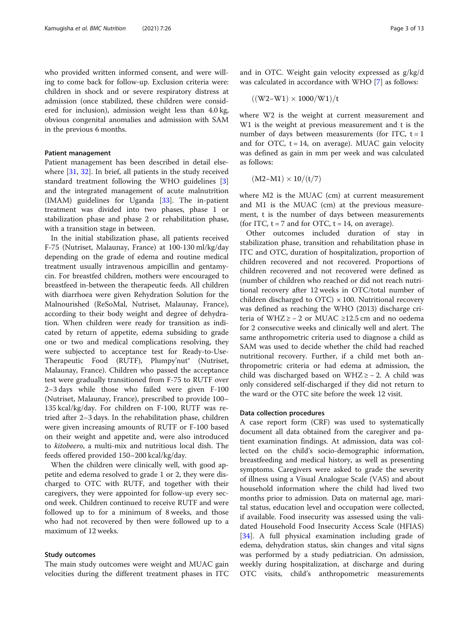who provided written informed consent, and were willing to come back for follow-up. Exclusion criteria were: children in shock and or severe respiratory distress at admission (once stabilized, these children were considered for inclusion), admission weight less than 4.0 kg, obvious congenital anomalies and admission with SAM in the previous 6 months.

# Patient management

Patient management has been described in detail elsewhere [[31](#page-11-0), [32\]](#page-11-0). In brief, all patients in the study received standard treatment following the WHO guidelines [\[3](#page-10-0)] and the integrated management of acute malnutrition  $(IMAM)$  guidelines for Uganda  $[33]$  $[33]$  $[33]$ . The in-patient treatment was divided into two phases, phase 1 or stabilization phase and phase 2 or rehabilitation phase, with a transition stage in between.

In the initial stabilization phase, all patients received F-75 (Nutriset, Malaunay, France) at 100-130 ml/kg/day depending on the grade of edema and routine medical treatment usually intravenous ampicillin and gentamycin. For breastfed children, mothers were encouraged to breastfeed in-between the therapeutic feeds. All children with diarrhoea were given Rehydration Solution for the Malnourished (ReSoMal, Nutriset, Malaunay, France), according to their body weight and degree of dehydration. When children were ready for transition as indicated by return of appetite, edema subsiding to grade one or two and medical complications resolving, they were subjected to acceptance test for Ready-to-Use-Therapeutic Food (RUTF), Plumpy'nut<sup>®</sup> (Nutriset, Malaunay, France). Children who passed the acceptance test were gradually transitioned from F-75 to RUTF over 2–3 days while those who failed were given F-100 (Nutriset, Malaunay, France), prescribed to provide 100– 135 kcal/kg/day. For children on F-100, RUTF was retried after 2–3 days. In the rehabilitation phase, children were given increasing amounts of RUTF or F-100 based on their weight and appetite and, were also introduced to kitobeero, a multi-mix and nutritious local dish. The feeds offered provided 150–200 kcal/kg/day.

When the children were clinically well, with good appetite and edema resolved to grade 1 or 2, they were discharged to OTC with RUTF, and together with their caregivers, they were appointed for follow-up every second week. Children continued to receive RUTF and were followed up to for a minimum of 8 weeks, and those who had not recovered by then were followed up to a maximum of 12 weeks.

# Study outcomes

The main study outcomes were weight and MUAC gain velocities during the different treatment phases in ITC and in OTC. Weight gain velocity expressed as g/kg/d was calculated in accordance with WHO [\[7](#page-10-0)] as follows:

$$
((W2-W1)\times 1000/W1)/t
$$

where W2 is the weight at current measurement and W1 is the weight at previous measurement and t is the number of days between measurements (for ITC,  $t = 1$ and for OTC,  $t = 14$ , on average). MUAC gain velocity was defined as gain in mm per week and was calculated as follows:

$$
(M2-M1)\times 10/(t/7)
$$

where M2 is the MUAC (cm) at current measurement and M1 is the MUAC (cm) at the previous measurement, t is the number of days between measurements (for ITC,  $t = 7$  and for OTC,  $t = 14$ , on average).

Other outcomes included duration of stay in stabilization phase, transition and rehabilitation phase in ITC and OTC, duration of hospitalization, proportion of children recovered and not recovered. Proportions of children recovered and not recovered were defined as (number of children who reached or did not reach nutritional recovery after 12 weeks in OTC/total number of children discharged to  $OTC$ )  $\times$  100. Nutritional recovery was defined as reaching the WHO (2013) discharge criteria of WHZ ≥ − 2 or MUAC ≥12.5 cm and no oedema for 2 consecutive weeks and clinically well and alert. The same anthropometric criteria used to diagnose a child as SAM was used to decide whether the child had reached nutritional recovery. Further, if a child met both anthropometric criteria or had edema at admission, the child was discharged based on WHZ ≥ − 2. A child was only considered self-discharged if they did not return to the ward or the OTC site before the week 12 visit.

# Data collection procedures

A case report form (CRF) was used to systematically document all data obtained from the caregiver and patient examination findings. At admission, data was collected on the child's socio-demographic information, breastfeeding and medical history, as well as presenting symptoms. Caregivers were asked to grade the severity of illness using a Visual Analogue Scale (VAS) and about household information where the child had lived two months prior to admission. Data on maternal age, marital status, education level and occupation were collected, if available. Food insecurity was assessed using the validated Household Food Insecurity Access Scale (HFIAS) [[34\]](#page-11-0). A full physical examination including grade of edema, dehydration status, skin changes and vital signs was performed by a study pediatrician. On admission, weekly during hospitalization, at discharge and during OTC visits, child's anthropometric measurements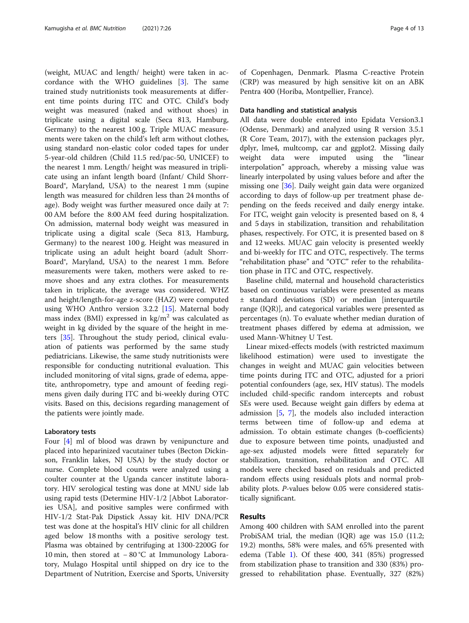(weight, MUAC and length/ height) were taken in accordance with the WHO guidelines [\[3](#page-10-0)]. The same trained study nutritionists took measurements at different time points during ITC and OTC. Child's body weight was measured (naked and without shoes) in triplicate using a digital scale (Seca 813, Hamburg, Germany) to the nearest 100 g. Triple MUAC measurements were taken on the child's left arm without clothes, using standard non-elastic color coded tapes for under 5-year-old children (Child 11.5 red/pac-50, UNICEF) to the nearest 1 mm. Length/ height was measured in triplicate using an infant length board (Infant/ Child Shorr-Board®, Maryland, USA) to the nearest 1 mm (supine length was measured for children less than 24 months of age). Body weight was further measured once daily at 7: 00 AM before the 8:00 AM feed during hospitalization. On admission, maternal body weight was measured in triplicate using a digital scale (Seca 813, Hamburg, Germany) to the nearest 100 g. Height was measured in triplicate using an adult height board (adult Shorr-Board®, Maryland, USA) to the nearest 1 mm. Before measurements were taken, mothers were asked to remove shoes and any extra clothes. For measurements taken in triplicate, the average was considered. WHZ and height/length-for-age z-score (HAZ) were computed using WHO Anthro version 3.2.2 [[15\]](#page-11-0). Maternal body mass index (BMI) expressed in  $\text{kg/m}^2$  was calculated as weight in kg divided by the square of the height in meters [[35\]](#page-11-0). Throughout the study period, clinical evaluation of patients was performed by the same study pediatricians. Likewise, the same study nutritionists were responsible for conducting nutritional evaluation. This included monitoring of vital signs, grade of edema, appetite, anthropometry, type and amount of feeding regimens given daily during ITC and bi-weekly during OTC visits. Based on this, decisions regarding management of the patients were jointly made.

# Laboratory tests

Four [[4\]](#page-10-0) ml of blood was drawn by venipuncture and placed into heparinized vacutainer tubes (Becton Dickinson, Franklin lakes, NJ USA) by the study doctor or nurse. Complete blood counts were analyzed using a coulter counter at the Uganda cancer institute laboratory. HIV serological testing was done at MNU side lab using rapid tests (Determine HIV-1/2 [Abbot Laboratories USA], and positive samples were confirmed with HIV-1/2 Stat-Pak Dipstick Assay kit. HIV DNA/PCR test was done at the hospital's HIV clinic for all children aged below 18 months with a positive serology test. Plasma was obtained by centrifuging at 1300-2200G for 10 min, then stored at − 80 °C at Immunology Laboratory, Mulago Hospital until shipped on dry ice to the Department of Nutrition, Exercise and Sports, University of Copenhagen, Denmark. Plasma C-reactive Protein (CRP) was measured by high sensitive kit on an ABK Pentra 400 (Horiba, Montpellier, France).

# Data handling and statistical analysis

All data were double entered into Epidata Version3.1 (Odense, Denmark) and analyzed using R version 3.5.1 (R Core Team, 2017), with the extension packages plyr, dplyr, lme4, multcomp, car and ggplot2. Missing daily weight data were imputed using the "linear interpolation" approach, whereby a missing value was linearly interpolated by using values before and after the missing one [[36\]](#page-11-0). Daily weight gain data were organized according to days of follow-up per treatment phase depending on the feeds received and daily energy intake. For ITC, weight gain velocity is presented based on 8, 4 and 5 days in stabilization, transition and rehabilitation phases, respectively. For OTC, it is presented based on 8 and 12 weeks. MUAC gain velocity is presented weekly and bi-weekly for ITC and OTC, respectively. The terms "rehabilitation phase" and "OTC" refer to the rehabilitation phase in ITC and OTC, respectively.

Baseline child, maternal and household characteristics based on continuous variables were presented as means ± standard deviations (SD) or median [interquartile range (IQR)], and categorical variables were presented as percentages (n). To evaluate whether median duration of treatment phases differed by edema at admission, we used Mann-Whitney U Test.

Linear mixed-effects models (with restricted maximum likelihood estimation) were used to investigate the changes in weight and MUAC gain velocities between time points during ITC and OTC, adjusted for a priori potential confounders (age, sex, HIV status). The models included child-specific random intercepts and robust SEs were used. Because weight gain differs by edema at admission [[5,](#page-10-0) [7\]](#page-10-0), the models also included interaction terms between time of follow-up and edema at admission. To obtain estimate changes (b-coefficients) due to exposure between time points, unadjusted and age-sex adjusted models were fitted separately for stabilization, transition, rehabilitation and OTC. All models were checked based on residuals and predicted random effects using residuals plots and normal probability plots. P-values below 0.05 were considered statistically significant.

# Results

Among 400 children with SAM enrolled into the parent ProbiSAM trial, the median (IQR) age was 15.0 (11.2; 19.2) months, 58% were males, and 65% presented with edema (Table [1\)](#page-4-0). Of these 400, 341 (85%) progressed from stabilization phase to transition and 330 (83%) progressed to rehabilitation phase. Eventually, 327 (82%)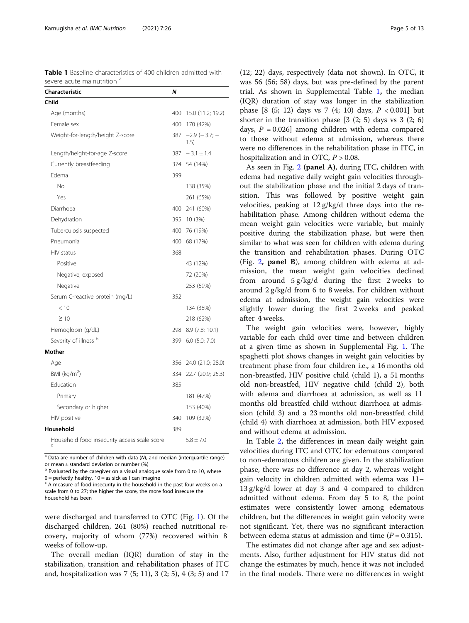<span id="page-4-0"></span>Table 1 Baseline characteristics of 400 children admitted with severe acute malnutrition <sup>a</sup>

| Characteristic                               | Ν   |                               |
|----------------------------------------------|-----|-------------------------------|
| Child                                        |     |                               |
| Age (months)                                 |     | 400 15.0 (11.2; 19.2)         |
| Female sex                                   | 400 | 170 (42%)                     |
| Weight-for-length/height Z-score             | 387 | $-2.9$ ( $-3.7$ ; $-$<br>1.5) |
| Length/height-for-age Z-score                | 387 | $-3.1 \pm 1.4$                |
| Currently breastfeeding                      |     | 374 54 (14%)                  |
| Edema                                        | 399 |                               |
| No                                           |     | 138 (35%)                     |
| Yes                                          |     | 261 (65%)                     |
| Diarrhoea                                    |     | 400 241 (60%)                 |
| Dehydration                                  |     | 395 10 (3%)                   |
| Tuberculosis suspected                       |     | 400 76 (19%)                  |
| Pneumonia                                    |     | 400 68 (17%)                  |
| HIV status                                   | 368 |                               |
| Positive                                     |     | 43 (12%)                      |
| Negative, exposed                            |     | 72 (20%)                      |
| Negative                                     |     | 253 (69%)                     |
| Serum C-reactive protein (mg/L)              | 352 |                               |
| < 10                                         |     | 134 (38%)                     |
| $\geq 10$                                    |     | 218 (62%)                     |
| Hemoglobin (g/dL)                            |     | 298 8.9 (7.8; 10.1)           |
| Severity of illness b                        | 399 | $6.0$ $(5.0; 7.0)$            |
| Mother                                       |     |                               |
| Age                                          |     | 356 24.0 (21.0; 28.0)         |
| BMI (kg/m <sup>2</sup> )                     | 334 | 22.7 (20.9; 25.3)             |
| Education                                    | 385 |                               |
| Primary                                      |     | 181 (47%)                     |
| Secondary or higher                          |     | 153 (40%)                     |
| HIV positive                                 | 340 | 109 (32%)                     |
| Household                                    | 389 |                               |
| Household food insecurity access scale score |     | $5.8 \pm 7.0$                 |

 $a$  Data are number of children with data (N), and median (interquartile range) or mean ± standard deviation or number (%)

<sup>b</sup> Evaluated by the caregiver on a visual analogue scale from 0 to 10, where  $0 =$  perfectly healthy,  $10 =$  as sick as I can imagine

were discharged and transferred to OTC (Fig. [1](#page-5-0)). Of the discharged children, 261 (80%) reached nutritional recovery, majority of whom (77%) recovered within 8 weeks of follow-up.

The overall median (IQR) duration of stay in the stabilization, transition and rehabilitation phases of ITC and, hospitalization was 7 (5; 11), 3 (2; 5), 4 (3; 5) and 17 (12; 22) days, respectively (data not shown). In OTC, it was 56 (56; 58) days, but was pre-defined by the parent trial. As shown in Supplemental Table [1](#page-10-0), the median (IQR) duration of stay was longer in the stabilization phase  $[8 (5; 12)$  days vs 7  $(4; 10)$  days,  $P < 0.001$  but shorter in the transition phase  $[3 (2; 5)$  days vs  $3 (2; 6)$ days,  $P = 0.026$ ] among children with edema compared to those without edema at admission, whereas there were no differences in the rehabilitation phase in ITC, in hospitalization and in OTC,  $P > 0.08$ .

As seen in Fig. [2](#page-5-0) (panel A), during ITC, children with edema had negative daily weight gain velocities throughout the stabilization phase and the initial 2 days of transition. This was followed by positive weight gain velocities, peaking at 12 g/kg/d three days into the rehabilitation phase. Among children without edema the mean weight gain velocities were variable, but mainly positive during the stabilization phase, but were then similar to what was seen for children with edema during the transition and rehabilitation phases. During OTC (Fig. [2](#page-5-0), panel B), among children with edema at admission, the mean weight gain velocities declined from around 5 g/kg/d during the first 2 weeks to around 2 g/kg/d from 6 to 8 weeks. For children without edema at admission, the weight gain velocities were slightly lower during the first 2 weeks and peaked after 4 weeks.

The weight gain velocities were, however, highly variable for each child over time and between children at a given time as shown in Supplemental Fig. [1.](#page-10-0) The spaghetti plot shows changes in weight gain velocities by treatment phase from four children i.e., a 16 months old non-breastfed, HIV positive child (child 1), a 51 months old non-breastfed, HIV negative child (child 2), both with edema and diarrhoea at admission, as well as 11 months old breastfed child without diarrhoea at admission (child 3) and a 23 months old non-breastfed child (child 4) with diarrhoea at admission, both HIV exposed and without edema at admission.

In Table [2,](#page-6-0) the differences in mean daily weight gain velocities during ITC and OTC for edematous compared to non-edematous children are given. In the stabilization phase, there was no difference at day 2, whereas weight gain velocity in children admitted with edema was 11– 13 g/kg/d lower at day 3 and 4 compared to children admitted without edema. From day 5 to 8, the point estimates were consistently lower among edematous children, but the differences in weight gain velocity were not significant. Yet, there was no significant interaction between edema status at admission and time ( $P = 0.315$ ).

The estimates did not change after age and sex adjustments. Also, further adjustment for HIV status did not change the estimates by much, hence it was not included in the final models. There were no differences in weight

 $\epsilon$  A measure of food insecurity in the household in the past four weeks on a scale from 0 to 27; the higher the score, the more food insecure the household has been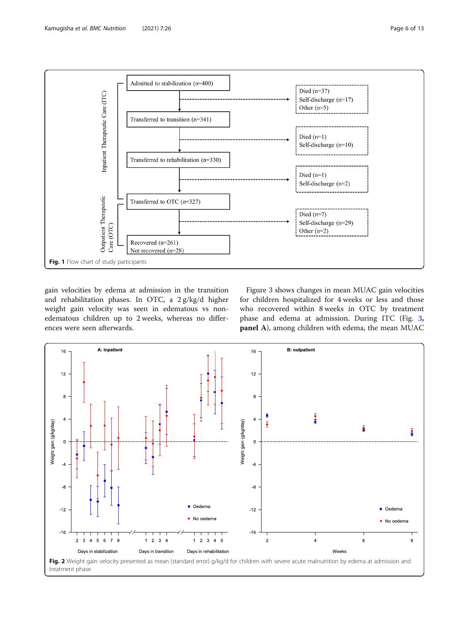<span id="page-5-0"></span>

gain velocities by edema at admission in the transition and rehabilitation phases. In OTC, a 2 g/kg/d higher weight gain velocity was seen in edematous vs nonedematous children up to 2 weeks, whereas no differences were seen afterwards.

Figure [3](#page-7-0) shows changes in mean MUAC gain velocities for children hospitalized for 4 weeks or less and those who recovered within 8 weeks in OTC by treatment phase and edema at admission. During ITC (Fig. [3](#page-7-0), panel A), among children with edema, the mean MUAC

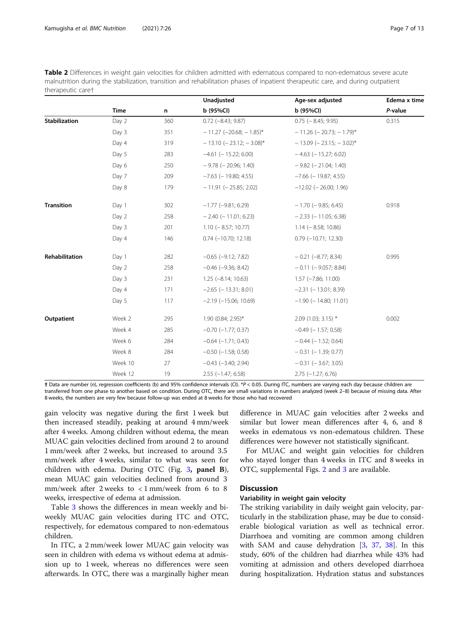<span id="page-6-0"></span>Table 2 Differences in weight gain velocities for children admitted with edematous compared to non-edematous severe acute malnutrition during the stabilization, transition and rehabilitation phases of inpatient therapeutic care, and during outpatient therapeutic care†

|                   |             |     | Unadjusted                  | Age-sex adjusted            | Edema x time |
|-------------------|-------------|-----|-----------------------------|-----------------------------|--------------|
|                   | <b>Time</b> | n   | b (95%CI)                   | b (95%Cl)                   | P-value      |
| Stabilization     | Day 2       | 360 | $0.72$ (-8.43; 9.87)        | $0.75$ ( $-8.45$ ; 9.95)    | 0.315        |
|                   | Day 3       | 351 | $-11.27$ (-20.68; -1.85)*   | $-11.26$ (-20.73; -1.79)*   |              |
|                   | Day 4       | 319 | $-13.10$ (-23.12; -3.08)*   | $-13.09$ (-23.15; -3.02)*   |              |
|                   | Day 5       | 283 | $-4.61$ (-15.22; 6.00)      | $-4.63$ (-15.27; 6.02)      |              |
|                   | Day 6       | 250 | $-9.78$ ( $-20.96$ ; 1.40)  | $-9.82$ ( $-21.04$ ; 1.40)  |              |
|                   | Day 7       | 209 | $-7.63$ ( $-19.80; 4.55$ )  | $-7.66$ ( $-19.87; 4.55$ )  |              |
|                   | Day 8       | 179 | $-11.91$ ( $-25.85$ ; 2.02) | $-12.02$ (-26.00; 1.96)     |              |
| <b>Transition</b> | Day 1       | 302 | $-1.77$ ( $-9.81$ ; 6.29)   | $-1.70$ ( $-9.85$ ; 6.45)   | 0.918        |
|                   | Day 2       | 258 | $-2.40$ ( $-11.01$ ; 6.23)  | $-2.33$ ( $-11.05$ ; 6.38)  |              |
|                   | Day 3       | 201 | $1.10 (-8.57; 10.77)$       | $1.14 (-8.58; 10.86)$       |              |
|                   | Day 4       | 146 | $0.74$ (-10.70; 12.18)      | $0.79$ ( $-10.71$ ; 12.30)  |              |
| Rehabilitation    | Day 1       | 282 | $-0.65$ $(-9.12; 7.82)$     | $-0.21$ $(-8.77; 8.34)$     | 0.995        |
|                   | Day 2       | 258 | $-0.46$ $(-9.36; 8.42)$     | $-0.11$ ( $-9.057$ ; 8.84)  |              |
|                   | Day 3       | 231 | $1.25 (-8.14; 10.63)$       | $1.57$ ( $-7.86$ ; 11.00)   |              |
|                   | Day 4       | 171 | $-2.65$ ( $-13.31$ ; 8.01)  | $-2.31$ ( $-13.01$ ; 8.39)  |              |
|                   | Day 5       | 117 | $-2.19$ ( $-15.06$ ; 10.69) | $-1.90$ ( $-14.80$ ; 11.01) |              |
| Outpatient        | Week 2      | 295 | 1.90 (0.84; 2.95)*          | $2.09$ (1.03; 3.15) *       | 0.002        |
|                   | Week 4      | 285 | $-0.70$ $(-1.77; 0.37)$     | $-0.49$ ( $-1.57$ ; 0.58)   |              |
|                   | Week 6      | 284 | $-0.64$ $(-1.71; 0.43)$     | $-0.44$ ( $-1.52$ ; 0.64)   |              |
|                   | Week 8      | 284 | $-0.50$ $(-1.58; 0.58)$     | $-0.31$ ( $-1.39$ ; 0.77)   |              |
|                   | Week 10     | 27  | $-0.43$ $(-3.40; 2.94)$     | $-0.31$ ( $-3.67$ ; 3.05)   |              |
|                   | Week 12     | 19  | $2.55$ (-1.47; 6.58)        | $2.75$ (-1.27; 6.76)        |              |

† Data are number (n), regression coefficients (b) and 95% confidence intervals (CI). \*P < 0.05. During ITC, numbers are varying each day because children are transferred from one phase to another based on condition. During OTC, there are small variations in numbers analyzed (week 2–8) because of missing data. After 8 weeks, the numbers are very few because follow-up was ended at 8 weeks for those who had recovered

gain velocity was negative during the first 1 week but then increased steadily, peaking at around 4 mm/week after 4 weeks. Among children without edema, the mean MUAC gain velocities declined from around 2 to around 1 mm/week after 2 weeks, but increased to around 3.5 mm/week after 4 weeks, similar to what was seen for children with edema. During OTC (Fig. [3](#page-7-0), panel B), mean MUAC gain velocities declined from around 3 mm/week after 2 weeks to < 1 mm/week from 6 to 8 weeks, irrespective of edema at admission.

Table [3](#page-7-0) shows the differences in mean weekly and biweekly MUAC gain velocities during ITC and OTC, respectively, for edematous compared to non-edematous children.

In ITC, a 2 mm/week lower MUAC gain velocity was seen in children with edema vs without edema at admission up to 1 week, whereas no differences were seen afterwards. In OTC, there was a marginally higher mean difference in MUAC gain velocities after 2 weeks and similar but lower mean differences after 4, 6, and 8 weeks in edematous vs non-edematous children. These differences were however not statistically significant.

For MUAC and weight gain velocities for children who stayed longer than 4 weeks in ITC and 8 weeks in OTC, supplemental Figs. [2](#page-10-0) and [3](#page-10-0) are available.

# **Discussion**

# Variability in weight gain velocity

The striking variability in daily weight gain velocity, particularly in the stabilization phase, may be due to considerable biological variation as well as technical error. Diarrhoea and vomiting are common among children with SAM and cause dehydration [[3,](#page-10-0) [37,](#page-11-0) [38](#page-11-0)]. In this study, 60% of the children had diarrhea while 43% had vomiting at admission and others developed diarrhoea during hospitalization. Hydration status and substances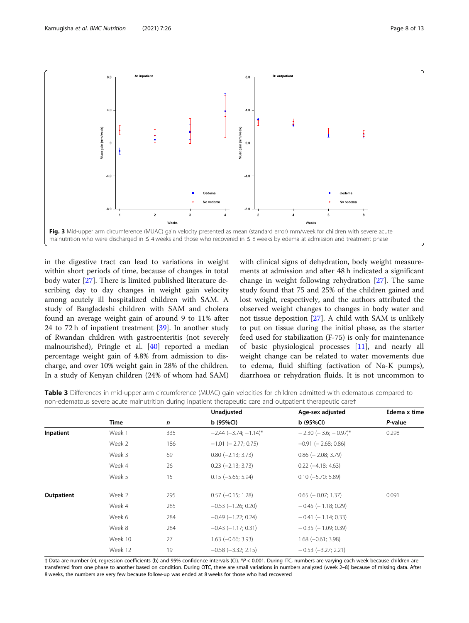<span id="page-7-0"></span>

in the digestive tract can lead to variations in weight within short periods of time, because of changes in total body water [\[27\]](#page-11-0). There is limited published literature describing day to day changes in weight gain velocity among acutely ill hospitalized children with SAM. A study of Bangladeshi children with SAM and cholera found an average weight gain of around 9 to 11% after 24 to 72 h of inpatient treatment [[39\]](#page-11-0). In another study of Rwandan children with gastroenteritis (not severely malnourished), Pringle et al. [\[40](#page-11-0)] reported a median percentage weight gain of 4.8% from admission to discharge, and over 10% weight gain in 28% of the children. In a study of Kenyan children (24% of whom had SAM) with clinical signs of dehydration, body weight measurements at admission and after 48 h indicated a significant change in weight following rehydration [[27\]](#page-11-0). The same study found that 75 and 25% of the children gained and lost weight, respectively, and the authors attributed the observed weight changes to changes in body water and not tissue deposition [[27\]](#page-11-0). A child with SAM is unlikely to put on tissue during the initial phase, as the starter feed used for stabilization (F-75) is only for maintenance of basic physiological processes [\[11\]](#page-11-0), and nearly all weight change can be related to water movements due to edema, fluid shifting (activation of Na-K pumps), diarrhoea or rehydration fluids. It is not uncommon to

Table 3 Differences in mid-upper arm circumference (MUAC) gain velocities for children admitted with edematous compared to non-edematous severe acute malnutrition during inpatient therapeutic care and outpatient therapeutic care†

|            |             |     | Unadjusted                | Age-sex adjusted              | Edema x time |
|------------|-------------|-----|---------------------------|-------------------------------|--------------|
|            | <b>Time</b> | n   | $b$ (95%Cl)               | b(95%Cl)                      | P-value      |
| Inpatient  | Week 1      | 335 | $-2.44 (-3.74; -1.14)^*$  | $-2.30$ ( $-3.6$ ; $-0.97$ )* | 0.298        |
|            | Week 2      | 186 | $-1.01$ ( $-2.77$ ; 0.75) | $-0.91$ ( $-2.68$ ; 0.86)     |              |
|            | Week 3      | 69  | $0.80$ ( $-2.13$ ; 3.73)  | $0.86$ ( $-2.08$ ; 3.79)      |              |
|            | Week 4      | 26  | $0.23$ $(-2.13; 3.73)$    | $0.22$ ( $-4.18$ ; 4.63)      |              |
|            | Week 5      | 15  | $0.15 (-5.65; 5.94)$      | $0.10$ (-5.70; 5.89)          |              |
| Outpatient | Week 2      | 295 | $0.57$ ( $-0.15$ ; 1.28)  | $0.65$ ( $-0.07; 1.37$ )      | 0.091        |
|            | Week 4      | 285 | $-0.53$ $(-1.26; 0.20)$   | $-0.45$ ( $-1.18$ ; 0.29)     |              |
|            | Week 6      | 284 | $-0.49$ ( $-1.22$ ; 0.24) | $-0.41$ ( $-1.14$ ; 0.33)     |              |
|            | Week 8      | 284 | $-0.43$ ( $-1.17$ ; 0.31) | $-0.35$ ( $-1.09$ ; 0.39)     |              |
|            | Week 10     | 27  | $1.63$ ( $-0.66$ ; 3.93)  | $1.68 (-0.61; 3.98)$          |              |
|            | Week 12     | 19  | $-0.58$ $(-3.32; 2.15)$   | $-0.53$ ( $-3.27; 2.21$ )     |              |
|            |             |     |                           |                               |              |

† Data are number (n), regression coefficients (b) and 95% confidence intervals (CI). \*P < 0.001. During ITC, numbers are varying each week because children are transferred from one phase to another based on condition. During OTC, there are small variations in numbers analyzed (week 2–8) because of missing data. After 8 weeks, the numbers are very few because follow-up was ended at 8 weeks for those who had recovered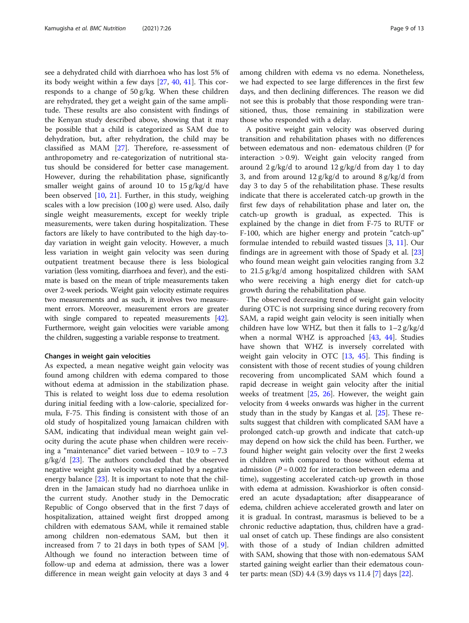see a dehydrated child with diarrhoea who has lost 5% of its body weight within a few days [[27](#page-11-0), [40,](#page-11-0) [41](#page-11-0)]. This corresponds to a change of 50 g/kg. When these children are rehydrated, they get a weight gain of the same amplitude. These results are also consistent with findings of the Kenyan study described above, showing that it may be possible that a child is categorized as SAM due to dehydration, but, after rehydration, the child may be classified as MAM [[27\]](#page-11-0). Therefore, re-assessment of anthropometry and re-categorization of nutritional status should be considered for better case management. However, during the rehabilitation phase, significantly smaller weight gains of around 10 to 15 g/kg/d have been observed [\[10](#page-11-0), [21](#page-11-0)]. Further, in this study, weighing scales with a low precision (100 g) were used. Also, daily single weight measurements, except for weekly triple measurements, were taken during hospitalization. These factors are likely to have contributed to the high day-today variation in weight gain velocity. However, a much less variation in weight gain velocity was seen during outpatient treatment because there is less biological variation (less vomiting, diarrhoea and fever), and the estimate is based on the mean of triple measurements taken over 2-week periods. Weight gain velocity estimate requires two measurements and as such, it involves two measurement errors. Moreover, measurement errors are greater with single compared to repeated measurements [\[42](#page-11-0)]. Furthermore, weight gain velocities were variable among the children, suggesting a variable response to treatment.

# Changes in weight gain velocities

As expected, a mean negative weight gain velocity was found among children with edema compared to those without edema at admission in the stabilization phase. This is related to weight loss due to edema resolution during initial feeding with a low-calorie, specialized formula, F-75. This finding is consistent with those of an old study of hospitalized young Jamaican children with SAM, indicating that individual mean weight gain velocity during the acute phase when children were receiving a "maintenance" diet varied between − 10.9 to − 7.3  $g/kg/d$  [[23](#page-11-0)]. The authors concluded that the observed negative weight gain velocity was explained by a negative energy balance [[23](#page-11-0)]. It is important to note that the children in the Jamaican study had no diarrhoea unlike in the current study. Another study in the Democratic Republic of Congo observed that in the first 7 days of hospitalization, attained weight first dropped among children with edematous SAM, while it remained stable among children non-edematous SAM, but then it increased from 7 to 21 days in both types of SAM [\[9](#page-11-0)]. Although we found no interaction between time of follow-up and edema at admission, there was a lower difference in mean weight gain velocity at days 3 and 4 among children with edema vs no edema. Nonetheless, we had expected to see large differences in the first few days, and then declining differences. The reason we did not see this is probably that those responding were transitioned, thus, those remaining in stabilization were those who responded with a delay.

A positive weight gain velocity was observed during transition and rehabilitation phases with no differences between edematous and non- edematous children (P for interaction > 0.9). Weight gain velocity ranged from around 2 g/kg/d to around 12 g/kg/d from day 1 to day 3, and from around  $12 \frac{g}{kg/d}$  to around  $8 \frac{g}{kg/d}$  from day 3 to day 5 of the rehabilitation phase. These results indicate that there is accelerated catch-up growth in the first few days of rehabilitation phase and later on, the catch-up growth is gradual, as expected. This is explained by the change in diet from F-75 to RUTF or F-100, which are higher energy and protein "catch-up" formulae intended to rebuild wasted tissues [[3,](#page-10-0) [11](#page-11-0)]. Our findings are in agreement with those of Spady et al. [[23](#page-11-0)] who found mean weight gain velocities ranging from 3.2 to 21.5 g/kg/d among hospitalized children with SAM who were receiving a high energy diet for catch-up growth during the rehabilitation phase.

The observed decreasing trend of weight gain velocity during OTC is not surprising since during recovery from SAM, a rapid weight gain velocity is seen initially when children have low WHZ, but then it falls to  $1-2$  g/kg/d when a normal WHZ is approached  $[43, 44]$  $[43, 44]$  $[43, 44]$  $[43, 44]$ . Studies have shown that WHZ is inversely correlated with weight gain velocity in OTC [[13](#page-11-0), [45\]](#page-12-0). This finding is consistent with those of recent studies of young children recovering from uncomplicated SAM which found a rapid decrease in weight gain velocity after the initial weeks of treatment [[25](#page-11-0), [26\]](#page-11-0). However, the weight gain velocity from 4 weeks onwards was higher in the current study than in the study by Kangas et al. [[25\]](#page-11-0). These results suggest that children with complicated SAM have a prolonged catch-up growth and indicate that catch-up may depend on how sick the child has been. Further, we found higher weight gain velocity over the first 2 weeks in children with compared to those without edema at admission ( $P = 0.002$  for interaction between edema and time), suggesting accelerated catch-up growth in those with edema at admission. Kwashiorkor is often considered an acute dysadaptation; after disappearance of edema, children achieve accelerated growth and later on it is gradual. In contrast, marasmus is believed to be a chronic reductive adaptation, thus, children have a gradual onset of catch up. These findings are also consistent with those of a study of Indian children admitted with SAM, showing that those with non-edematous SAM started gaining weight earlier than their edematous counter parts: mean (SD) 4.4 (3.9) days vs 11.4 [\[7](#page-10-0)] days [[22\]](#page-11-0).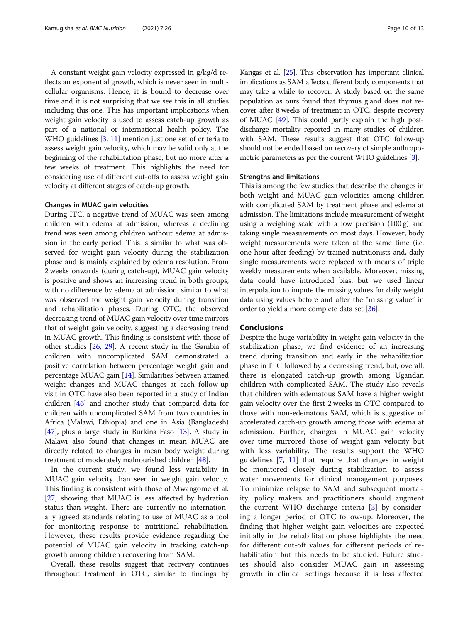A constant weight gain velocity expressed in g/kg/d reflects an exponential growth, which is never seen in multicellular organisms. Hence, it is bound to decrease over time and it is not surprising that we see this in all studies including this one. This has important implications when weight gain velocity is used to assess catch-up growth as part of a national or international health policy. The WHO guidelines [\[3](#page-10-0), [11\]](#page-11-0) mention just one set of criteria to assess weight gain velocity, which may be valid only at the beginning of the rehabilitation phase, but no more after a few weeks of treatment. This highlights the need for considering use of different cut-offs to assess weight gain velocity at different stages of catch-up growth.

# Changes in MUAC gain velocities

During ITC, a negative trend of MUAC was seen among children with edema at admission, whereas a declining trend was seen among children without edema at admission in the early period. This is similar to what was observed for weight gain velocity during the stabilization phase and is mainly explained by edema resolution. From 2 weeks onwards (during catch-up), MUAC gain velocity is positive and shows an increasing trend in both groups, with no difference by edema at admission, similar to what was observed for weight gain velocity during transition and rehabilitation phases. During OTC, the observed decreasing trend of MUAC gain velocity over time mirrors that of weight gain velocity, suggesting a decreasing trend in MUAC growth. This finding is consistent with those of other studies [\[26,](#page-11-0) [29\]](#page-11-0). A recent study in the Gambia of children with uncomplicated SAM demonstrated a positive correlation between percentage weight gain and percentage MUAC gain [[14](#page-11-0)]. Similarities between attained weight changes and MUAC changes at each follow-up visit in OTC have also been reported in a study of Indian children [[46\]](#page-12-0) and another study that compared data for children with uncomplicated SAM from two countries in Africa (Malawi, Ethiopia) and one in Asia (Bangladesh) [[47](#page-12-0)], plus a large study in Burkina Faso [[13](#page-11-0)]. A study in Malawi also found that changes in mean MUAC are directly related to changes in mean body weight during treatment of moderately malnourished children [\[48\]](#page-12-0).

In the current study, we found less variability in MUAC gain velocity than seen in weight gain velocity. This finding is consistent with those of Mwangome et al. [[27\]](#page-11-0) showing that MUAC is less affected by hydration status than weight. There are currently no internationally agreed standards relating to use of MUAC as a tool for monitoring response to nutritional rehabilitation. However, these results provide evidence regarding the potential of MUAC gain velocity in tracking catch-up growth among children recovering from SAM.

Overall, these results suggest that recovery continues throughout treatment in OTC, similar to findings by Kangas et al. [\[25](#page-11-0)]. This observation has important clinical implications as SAM affects different body components that may take a while to recover. A study based on the same population as ours found that thymus gland does not recover after 8 weeks of treatment in OTC, despite recovery of MUAC [\[49\]](#page-12-0). This could partly explain the high postdischarge mortality reported in many studies of children with SAM. These results suggest that OTC follow-up should not be ended based on recovery of simple anthropometric parameters as per the current WHO guidelines [[3](#page-10-0)].

# Strengths and limitations

This is among the few studies that describe the changes in both weight and MUAC gain velocities among children with complicated SAM by treatment phase and edema at admission. The limitations include measurement of weight using a weighing scale with a low precision (100 g) and taking single measurements on most days. However, body weight measurements were taken at the same time (i.e. one hour after feeding) by trained nutritionists and, daily single measurements were replaced with means of triple weekly measurements when available. Moreover, missing data could have introduced bias, but we used linear interpolation to impute the missing values for daily weight data using values before and after the "missing value" in order to yield a more complete data set [\[36\]](#page-11-0).

# **Conclusions**

Despite the huge variability in weight gain velocity in the stabilization phase, we find evidence of an increasing trend during transition and early in the rehabilitation phase in ITC followed by a decreasing trend, but, overall, there is elongated catch-up growth among Ugandan children with complicated SAM. The study also reveals that children with edematous SAM have a higher weight gain velocity over the first 2 weeks in OTC compared to those with non-edematous SAM, which is suggestive of accelerated catch-up growth among those with edema at admission. Further, changes in MUAC gain velocity over time mirrored those of weight gain velocity but with less variability. The results support the WHO guidelines [\[7](#page-10-0), [11](#page-11-0)] that require that changes in weight be monitored closely during stabilization to assess water movements for clinical management purposes. To minimize relapse to SAM and subsequent mortality, policy makers and practitioners should augment the current WHO discharge criteria  $\left[3\right]$  by considering a longer period of OTC follow-up. Moreover, the finding that higher weight gain velocities are expected initially in the rehabilitation phase highlights the need for different cut-off values for different periods of rehabilitation but this needs to be studied. Future studies should also consider MUAC gain in assessing growth in clinical settings because it is less affected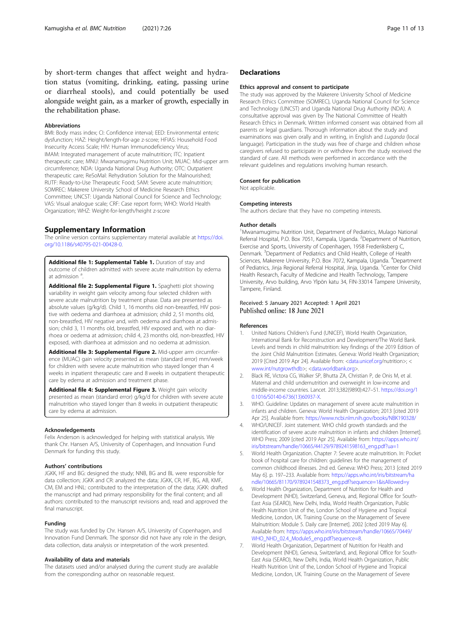<span id="page-10-0"></span>by short-term changes that affect weight and hydration status (vomiting, drinking, eating, passing urine or diarrheal stools), and could potentially be used alongside weight gain, as a marker of growth, especially in the rehabilitation phase.

#### **Abbreviations**

BMI: Body mass index; CI: Confidence interval; EED: Environmental enteric dysfunction; HAZ: Height/length-for-age z-score; HFIAS: Household Food Insecurity Access Scale; HIV: Human Immunodeficiency Virus; IMAM: Integrated management of acute malnutrition; ITC: Inpatient therapeutic care; MNU: Mwanamugimu Nutrition Unit; MUAC: Mid-upper arm circumference; NDA: Uganda National Drug Authority; OTC: Outpatient therapeutic care; ReSoMal: Rehydration Solution for the Malnourished; RUTF: Ready-to-Use Therapeutic Food; SAM: Severe acute malnutrition; SOMREC: Makerere University School of Medicine Research Ethics Committee; UNCST: Uganda National Council for Science and Technology; VAS: Visual analogue scale; CRF: Case report form; WHO: World Health Organization; WHZ: Weight-for-length/height z-score

# Supplementary Information

The online version contains supplementary material available at [https://doi.](https://doi.org/10.1186/s40795-021-00428-0) [org/10.1186/s40795-021-00428-0.](https://doi.org/10.1186/s40795-021-00428-0)

Additional file 1: Supplemental Table 1. Duration of stay and outcome of children admitted with severe acute malnutrition by edema at admission <sup>a</sup> .

Additional file 2: Supplemental Figure 1. Spaghetti plot showing variability in weight gain velocity among four selected children with severe acute malnutrition by treatment phase. Data are presented as absolute values (g/kg/d). Child 1, 16 months old non-breastfed, HIV positive with oedema and diarrhoea at admission; child 2, 51 months old, non-breastfed, HIV negative and, with oedema and diarrhoea at admission; child 3, 11 months old, breastfed, HIV exposed and, with no diarrhoea or oedema at admission; child 4, 23 months old, non-breastfed, HIV exposed, with diarrhoea at admission and no oedema at admission.

Additional file 3: Supplemental Figure 2. Mid-upper arm circumference (MUAC) gain velocity presented as mean (standard error) mm/week for children with severe acute malnutrition who stayed longer than 4 weeks in inpatient therapeutic care and 8 weeks in outpatient therapeutic care by edema at admission and treatment phase.

Additional file 4: Supplemental Figure 3. Weight gain velocity presented as mean (standard error) g/kg/d for children with severe acute malnutrition who stayed longer than 8 weeks in outpatient therapeutic care by edema at admission.

#### Acknowledgements

Felix Anderson is acknowledged for helping with statistical analysis. We thank Chr. Hansen A/S, University of Copenhagen, and Innovation Fund Denmark for funding this study.

# Authors' contributions

JGKK, HF and BG: designed the study; NNB, BG and BL were responsible for data collection; JGKK and CR: analyzed the data; JGKK, CR, HF, BG, AB, KMF, CM, EM and HNL: contributed to the interpretation of the data; JGKK: drafted the manuscript and had primary responsibility for the final content; and all authors: contributed to the manuscript revisions and, read and approved the final manuscript.

# Funding

The study was funded by Chr. Hansen A/S, University of Copenhagen, and Innovation Fund Denmark. The sponsor did not have any role in the design, data collection, data analysis or interpretation of the work presented.

#### Availability of data and materials

The datasets used and/or analysed during the current study are available from the corresponding author on reasonable request.

# **Declarations**

#### Ethics approval and consent to participate

The study was approved by the Makerere University School of Medicine Research Ethics Committee (SOMREC), Uganda National Council for Science and Technology (UNCST) and Uganda National Drug Authority (NDA). A consultative approval was given by The National Committee of Health Research Ethics in Denmark. Written informed consent was obtained from all parents or legal guardians. Thorough information about the study and examinations was given orally and in writing, in English and Luganda (local language). Participation in the study was free of charge and children whose caregivers refused to participate in or withdrew from the study received the standard of care. All methods were performed in accordance with the relevant guidelines and regulations involving human research.

# Consent for publication

Not applicable.

# Competing interests

The authors declare that they have no competing interests.

#### Author details

<sup>1</sup>Mwanamugimu Nutrition Unit, Department of Pediatrics, Mulago National Referral Hospital, P.O. Box 7051, Kampala, Uganda. <sup>2</sup>Department of Nutrition Exercise and Sports, University of Copenhagen, 1958 Frederiksberg C, Denmark. <sup>3</sup>Department of Pediatrics and Child Health, College of Health Sciences, Makerere University, P.O. Box 7072, Kampala, Uganda. <sup>4</sup>Department of Pediatrics, Jinja Regional Referral Hospital, Jinja, Uganda. <sup>5</sup>Center for Child Health Research, Faculty of Medicine and Health Technology, Tampere University, Arvo building, Arvo Ylpön katu 34, FIN-33014 Tampere University, Tampere, Finland.

# Received: 5 January 2021 Accepted: 1 April 2021 Published online: 18 June 2021

### References

- 1. United Nations Children's Fund (UNICEF), World Health Organization, International Bank for Reconstruction and Development/The World Bank. Levels and trends in child malnutrition: key findings of the 2019 Edition of the Joint Child Malnutrition Estimates. Geneva: World Health Organization; 2019 [Cited 2019 Apr 24]. Available from: [<data.unicef.org/](http://data.unicef.org)nutrition>; < [www.int/nutgrowthdb](http://www.int/nutgrowthdb)>; [<data.worldbank.org>](http://data.worldbank.org).
- 2. Black RE, Victora CG, Walker SP, Bhutta ZA, Christian P, de Onis M, et al. Maternal and child undernutrition and overweight in low-income and middle-income countries. Lancet. 2013;382(9890):427–51. [https://doi.org/1](https://doi.org/10.1016/S0140-6736(13)60937-X) [0.1016/S0140-6736\(13\)60937-X.](https://doi.org/10.1016/S0140-6736(13)60937-X)
- 3. WHO. Guideline: Updates on management of severe acute malnutrition in infants and children. Geneva: World Health Organization; 2013 [cited 2019 Apr 25]. Available from: <https://www.ncbi.nlm.nih.gov/books/NBK190328/>
- 4. WHO/UNICEF. Joint statement. WHO child growth standards and the identification of severe acute malnutrition in infants and children [Internet]. WHO Press; 2009 [cited 2019 Apr 25]. Available from: [https://apps.who.int/](https://apps.who.int/iris/bitstream/handle/10665/44129/9789241598163_eng.pdf?ua=1) [iris/bitstream/handle/10665/44129/9789241598163\\_eng.pdf?ua=1](https://apps.who.int/iris/bitstream/handle/10665/44129/9789241598163_eng.pdf?ua=1)
- 5. World Health Organization. Chapter 7: Severe acute malnutrition. In: Pocket book of hospital care for children: guidelines for the management of common childhood illnesses. 2nd ed. Geneva: WHO Press; 2013 [cited 2019 May 6]. p. 197–233. Available from: [https://apps.who.int/iris/bitstream/ha](https://apps.who.int/iris/bitstream/handle/10665/81170/9789241548373_eng.pdf?sequence=1&isAllowed=y) [ndle/10665/81170/9789241548373\\_eng.pdf?sequence=1&isAllowed=y](https://apps.who.int/iris/bitstream/handle/10665/81170/9789241548373_eng.pdf?sequence=1&isAllowed=y)
- 6. World Health Organization, Department of Nutrition for Health and Development (NHD), Switzerland, Geneva, and, Regional Office for South-East Asia (SEARO), New Delhi, India, World Health Organization, Public Health Nutrition Unit of the, London School of Hygiene and Tropical Medicine, London, UK. Training Course on the Management of Severe Malnutrition: Module 5. Daily care [Internet]. 2002 [cited 2019 May 6]. Available from: [https://apps.who.int/iris/bitstream/handle/10665/70449/](https://apps.who.int/iris/bitstream/handle/10665/70449/WHO_NHD_02.4_Module5_eng.pdf?sequence=8) [WHO\\_NHD\\_02.4\\_Module5\\_eng.pdf?sequence=8.](https://apps.who.int/iris/bitstream/handle/10665/70449/WHO_NHD_02.4_Module5_eng.pdf?sequence=8)
- 7. World Health Organization, Department of Nutrition for Health and Development (NHD), Geneva, Switzerland, and, Regional Office for South-East Asia (SEARO), New Delhi, India, World Health Organization, Public Health Nutrition Unit of the, London School of Hygiene and Tropical Medicine, London, UK. Training Course on the Management of Severe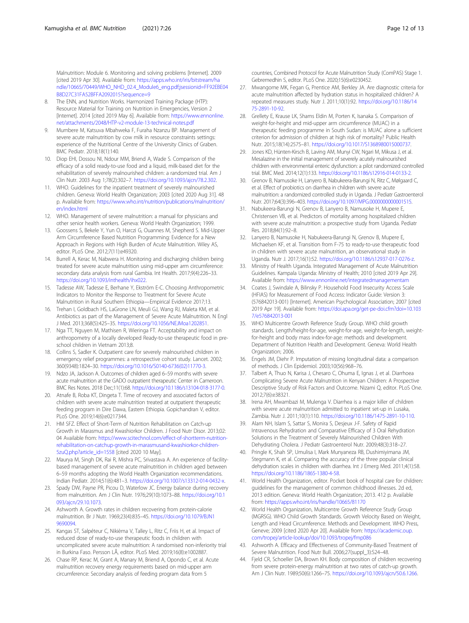<span id="page-11-0"></span>Malnutrition: Module 6. Monitoring and solving problems [Internet]. 2009 [cited 2019 Apr 30]. Available from: [https://apps.who.int/iris/bitstream/ha](https://apps.who.int/iris/bitstream/handle/10665/70449/WHO_NHD_02.4_Module6_eng.pdf;jsessionid=FF92EBE04B8D27C31FA52BFFA2092015?sequence=9) [ndle/10665/70449/WHO\\_NHD\\_02.4\\_Module6\\_eng.pdf;jsessionid=FF92EBE04](https://apps.who.int/iris/bitstream/handle/10665/70449/WHO_NHD_02.4_Module6_eng.pdf;jsessionid=FF92EBE04B8D27C31FA52BFFA2092015?sequence=9) [B8D27C31FA52BFFA2092015?sequence=9](https://apps.who.int/iris/bitstream/handle/10665/70449/WHO_NHD_02.4_Module6_eng.pdf;jsessionid=FF92EBE04B8D27C31FA52BFFA2092015?sequence=9)

- The ENN, and Nutrition Works. Harmonized Training Package (HTP): Resource Material for Training on Nutrition in Emergencies, Version 2 [Internet]. 2014 [cited 2019 May 6]. Available from: [https://www.ennonline.](https://www.ennonline.net/attachments/2048/HTP-v2-module-13-technical-notes.pdf) [net/attachments/2048/HTP-v2-module-13-technical-notes.pdf](https://www.ennonline.net/attachments/2048/HTP-v2-module-13-technical-notes.pdf)
- 9. Mumbere M, Katsuva Mbahweka F, Furaha Nzanzu BP. Management of severe acute malnutrition by cow milk in resource constraints settings: experience of the Nutritional Centre of the University Clinics of Graben. BMC Pediatr. 2018;18(1):140.
- 10. Diop EHI, Dossou NI, Ndour MM, Briend A, Wade S. Comparison of the efficacy of a solid ready-to-use food and a liquid, milk-based diet for the rehabilitation of severely malnourished children: a randomized trial. Am J Clin Nutr. 2003 Aug 1;78(2):302–7. <https://doi.org/10.1093/ajcn/78.2.302>.
- 11. WHO. Guidelines for the inpatient treatment of severely malnourished children. Geneva: World Health Organization; 2003 [cited 2020 Aug 31]. 48 p. Available from: [https://www.who.int/nutrition/publications/malnutrition/](https://www.who.int/nutrition/publications/malnutrition/en/index.html) [en/index.html](https://www.who.int/nutrition/publications/malnutrition/en/index.html)
- 12. WHO. Management of severe malnutrition: a manual for physicians and other senior health workers. Geneva: World Health Organization; 1999.
- 13. Goossens S, Bekele Y, Yun O, Harczi G, Ouannes M, Shepherd S. Mid-Upper Arm Circumference Based Nutrition Programming: Evidence for a New Approach in Regions with High Burden of Acute Malnutrition. Wiley AS, editor. PLoS One. 2012;7(11):e49320.
- 14. Burrell A, Kerac M, Nabwera H. Monitoring and discharging children being treated for severe acute malnutrition using mid-upper arm circumference: secondary data analysis from rural Gambia. Int Health. 2017;9(4):226–33. <https://doi.org/10.1093/inthealth/ihx022>.
- 15. Tadesse AW, Tadesse E, Berhane Y, Ekström E-C. Choosing Anthropometric Indicators to Monitor the Response to Treatment for Severe Acute Malnutrition in Rural Southern Ethiopia—Empirical Evidence 2017;13.
- 16. Trehan I, Goldbach HS, LaGrone LN, Meuli GJ, Wang RJ, Maleta KM, et al. Antibiotics as part of the Management of Severe Acute Malnutrition. N Engl J Med. 2013;368(5):425–35. [https://doi.org/10.1056/NEJMoa1202851.](https://doi.org/10.1056/NEJMoa1202851)
- 17. Nga TT, Nguyen M, Mathisen R, Wieringa FT. Acceptability and impact on anthropometry of a locally developed Ready-to-use therapeutic food in preschool children in Vietnam 2013;8.
- 18. Collins S, Sadler K. Outpatient care for severely malnourished children in emergency relief programmes: a retrospective cohort study. Lancet. 2002; 360(9348):1824–30. [https://doi.org/10.1016/S0140-6736\(02\)11770-3.](https://doi.org/10.1016/S0140-6736(02)11770-3)
- 19. Ndzo JA, Jackson A. Outcomes of children aged 6–59 months with severe acute malnutrition at the GADO outpatient therapeutic Center in Cameroon. BMC Res Notes. 2018 Dec;11(1):68. [https://doi.org/10.1186/s13104-018-3177-0.](https://doi.org/10.1186/s13104-018-3177-0)
- 20. Atnafe B, Roba KT, Dingeta T. Time of recovery and associated factors of children with severe acute malnutrition treated at outpatient therapeutic feeding program in Dire Dawa, Eastern Ethiopia. Gopichandran V, editor. PLoS One. 2019;14(6):e0217344.
- 21. HM SFZ. Effect of Short-Term of Nutrition Rehabilitation on Catch-up Growth in Marasmus and Kwashiorkor Children. J Food Nutr Disor. 2013;02: 04 Available from: [https://www.scitechnol.com/effect-of-shortterm-nutrition](https://www.scitechnol.com/effect-of-shortterm-nutrition-rehabilitation-on-catchup-growth-in-marasmusand-kwashiorkor-children-5zuQ.php?article_id=1558)[rehabilitation-on-catchup-growth-in-marasmusand-kwashiorkor-children-](https://www.scitechnol.com/effect-of-shortterm-nutrition-rehabilitation-on-catchup-growth-in-marasmusand-kwashiorkor-children-5zuQ.php?article_id=1558)[5zuQ.php?article\\_id=1558](https://www.scitechnol.com/effect-of-shortterm-nutrition-rehabilitation-on-catchup-growth-in-marasmusand-kwashiorkor-children-5zuQ.php?article_id=1558) [cited 2020 10 May].
- 22. Maurya M, Singh DK, Rai R, Mishra PC, Srivastava A. An experience of facilitybased management of severe acute malnutrition in children aged between 6–59 months adopting the World Health Organization recommendations. Indian Pediatr. 2014;51(6):481–3. [https://doi.org/10.1007/s13312-014-0432-x.](https://doi.org/10.1007/s13312-014-0432-x)
- 23. Spady DW, Payne PR, Picou D, Waterlow JC. Energy balance during recovery from malnutrition. Am J Clin Nutr. 1976;29(10):1073–88. [https://doi.org/10.1](https://doi.org/10.1093/ajcn/29.10.1073) [093/ajcn/29.10.1073](https://doi.org/10.1093/ajcn/29.10.1073).
- 24. Ashworth A. Growth rates in children recovering from protein-calorie malnutrition. Br J Nutr. 1969;23(4):835–45. [https://doi.org/10.1079/BJN1](https://doi.org/10.1079/BJN19690094) [9690094.](https://doi.org/10.1079/BJN19690094)
- 25. Kangas ST, Salpéteur C, Nikièma V, Talley L, Ritz C, Friis H, et al. Impact of reduced dose of ready-to-use therapeutic foods in children with uncomplicated severe acute malnutrition: A randomised non-inferiority trial in Burkina Faso. Persson LÅ, editor. PLoS Med. 2019;16(8):e1002887.
- 26. Chase RP, Kerac M, Grant A, Manary M, Briend A, Opondo C, et al. Acute malnutrition recovery energy requirements based on mid-upper arm circumference: Secondary analysis of feeding program data from 5

countries, Combined Protocol for Acute Malnutrition Study (ComPAS) Stage 1. Gebremedhin S, editor. PLoS One. 2020;15(6):e0230452.

- 27. Mwangome MK, Fegan G, Prentice AM, Berkley JA, Are diagnostic criteria for acute malnutrition affected by hydration status in hospitalized children? A repeated measures study. Nutr J. 2011;10(1):92. [https://doi.org/10.1186/14](https://doi.org/10.1186/1475-2891-10-92) [75-2891-10-92](https://doi.org/10.1186/1475-2891-10-92).
- 28. Grellety E, Krause LK, Shams Eldin M, Porten K, Isanaka S. Comparison of weight-for-height and mid-upper arm circumference (MUAC) in a therapeutic feeding programme in South Sudan: is MUAC alone a sufficient criterion for admission of children at high risk of mortality? Public Health Nutr. 2015;18(14):2575–81. <https://doi.org/10.1017/S1368980015000737>.
- 29. Jones KD, Hünten-Kirsch B, Laving AM, Munyi CW, Ngari M, Mikusa J, et al. Mesalazine in the initial management of severely acutely malnourished children with environmental enteric dysfunction: a pilot randomized controlled trial. BMC Med. 2014;12(1):133. [https://doi.org/10.1186/s12916-014-0133-2.](https://doi.org/10.1186/s12916-014-0133-2)
- 30. Grenov B, Namusoke H, Lanyero B, Nabukeera-Barungi N, Ritz C, Mølgaard C, et al. Effect of probiotics on diarrhea in children with severe acute malnutrition: a randomized controlled study in Uganda. J Pediatr Gastroenterol Nutr. 2017;64(3):396–403. [https://doi.org/10.1097/MPG.0000000000001515.](https://doi.org/10.1097/MPG.0000000000001515)
- 31. Nabukeera-Barungi N, Grenov B, Lanyero B, Namusoke H, Mupere E, Christensen VB, et al. Predictors of mortality among hospitalized children with severe acute malnutrition: a prospective study from Uganda. Pediatr Res. 2018;84(1):92–8.
- 32. Lanyero B, Namusoke H, Nabukeera-Barungi N, Grenov B, Mupere E, Michaelsen KF, et al. Transition from F-75 to ready-to-use therapeutic food in children with severe acute malnutrition, an observational study in Uganda. Nutr J. 2017;16(1):52. [https://doi.org/10.1186/s12937-017-0276-z.](https://doi.org/10.1186/s12937-017-0276-z)
- 33. Ministry of Health Uganda. Integrated Management of Acute Malnutrition Guidelines. Kampala Uganda: Ministry of Health; 2010 [cited 2019 Apr 29]. Available from: <https://www.ennonline.net/integratedmanagementam>
- 34. Coates J, Swindale A, Bilinsky P. Household Food Insecurity Access Scale (HFIAS) for Measurement of Food Access: Indicator Guide: Version 3: (576842013-001) [Internet]. American Psychological Association; 2007 [cited 2019 Apr 19]. Available from: [https://doi.apa.org/get-pe-doi.cfm?doi=10.103](https://doi.apa.org/get-pe-doi.cfm?doi=10.1037/e576842013-001) [7/e576842013-001](https://doi.apa.org/get-pe-doi.cfm?doi=10.1037/e576842013-001)
- 35. WHO Multicentre Growth Reference Study Group. WHO child growth standards. Length/height-for-age, weight-for-age, weight-for-length, weightfor-height and body mass index-for-age: methods and development. Department of Nutrition Health and Development. Geneva: World Health Organization; 2006.
- 36. Engels JM, Diehr P. Imputation of missing longitudinal data: a comparison of methods. J Clin Epidemiol. 2003;10(56):968–76.
- Talbert A, Thuo N, Karisa J, Chesaro C, Ohuma E, Ignas J, et al. Diarrhoea Complicating Severe Acute Malnutrition in Kenyan Children: A Prospective Descriptive Study of Risk Factors and Outcome. Nizami Q, editor. PLoS One. 2012;7(6):e38321.
- 38. Irena AH, Mwambazi M, Mulenga V. Diarrhea is a major killer of children with severe acute malnutrition admitted to inpatient set-up in Lusaka, Zambia. Nutr J. 2011;10(1):110. <https://doi.org/10.1186/1475-2891-10-110>.
- 39. Alam NH, Islam S, Sattar S, Monira S, Desjeux J-F. Safety of Rapid Intravenous Rehydration and Comparative Efficacy of 3 Oral Rehydration Solutions in the Treatment of Severely Malnourished Children With Dehydrating Cholera. J Pediatr Gastroenterol Nutr. 2009;48(3):318–27.
- 40. Pringle K, Shah SP, Umulisa I, Mark Munyaneza RB, Dushimiyimana JM, Stegmann K, et al. Comparing the accuracy of the three popular clinical dehydration scales in children with diarrhea. Int J Emerg Med. 2011;4(1):58. [https://doi.org/10.1186/1865-1380-4-58.](https://doi.org/10.1186/1865-1380-4-58)
- 41. World Health Organization, editor. Pocket book of hospital care for children: guidelines for the management of common childhood illnesses. 2d ed, 2013 edition. Geneva: World Health Organization; 2013. 412 p. Available from: <https://apps.who.int/iris/handle/10665/81170>
- 42. World Health Organization, Multicentre Growth Reference Study Group (MGRSG). WHO Child Growth Standards. Growth Velocity Based on Weight, Length and Head Circumference. Methods and Development. WHO Press, Geneve; 2009 [cited 2020 Apr 20]. Available from: [https://academic.oup.](http://dx.doi.org/10.1093/tropej/fmp086) [com/tropej/article-lookup/doi/10.1093/tropej/fmp086](http://dx.doi.org/10.1093/tropej/fmp086)
- 43. Ashworth A. Efficacy and Effectiveness of Community-Based Treatment of Severe Malnutrition. Food Nutr Bull. 2006;27(suppl\_3):S24–48.
- 44. Fjeld CR, Schoeller DA, Brown KH. Body composition of children recovering from severe protein-energy malnutrition at two rates of catch-up growth. Am J Clin Nutr. 1989;50(6):1266–75. [https://doi.org/10.1093/ajcn/50.6.1266.](https://doi.org/10.1093/ajcn/50.6.1266)